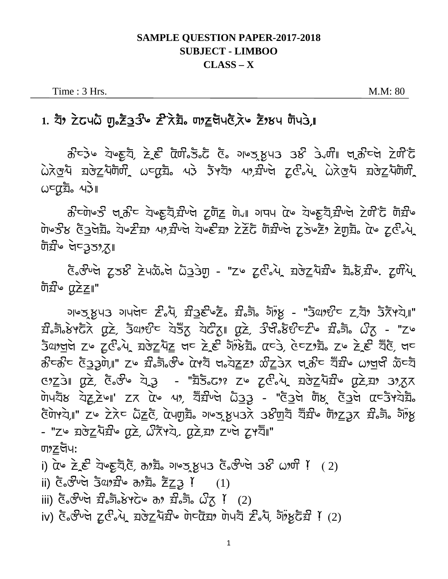## **SAMPLE QUESTION PAPER-2017-2018 SUBJECT - LIMBOO**  $CLASS - X$

Time : 3 Hrs.

M.M: 80

## 

ਨੌ-ਤੇ॰ ਧੋ॰हੁਧੈ, ਟੇ.ਟੂੰ ਕੋਯੀ.ਤੋ.ਟੋ ਫੋ. ગ॰ਤ.ਖ਼ੁਪ3 3 ੇਂਪੀ ਖ਼ਨੀ-ਖੇ ਟੇਯੀ ਟੋ  $\lambda x$ ਚੁੰਧ ਬਰੇਟੂ ਪੋਯੋਯੀ ਨਾ ਕਿਸ਼ੇ ਅਤੇ ਤੈਂ ਅਧਿਆ ਅਪ੍ਰਬੰਧਿਆ ਕਰੇ ਕਰੇ ਸ਼ਰੇਟੂ ਪੋਯੋਯੀ  $\omega$ cazio  $\omega$ 

ਨੌ<sup>ਟ</sup>ਯੋ७ਤੌ ਖ਼ੂਨੌ<sup>ਟ</sup> ਧੇ७ਫ਼ੁਧੈ,ਬੌੰਪਖੇ ਟ੍ਰਯੈਂਟ ਯੇ<sub>ਂ</sub>॥ ਹਾਧਪ αੇਂ ਧੇਂ७ਫ਼ੁਧੈ,ਬੌੰਪਖੇ ਟੇਯੰ'ਫੋ ਯੋਬੌੰ७ ਯੋਪ ਤੇਲ ਫੋਤੇਖੇਬੈਂ ਕੋਪਟੈਂਡਾ 49,ਬੌਪਖੇ ਕੋਪਣੈਂਡਾ ਟੇਟੋਂਟੈਂ ਯੋਬੌਪਖੇ ਟੂਤੇਪਟੈਂ ਟ੍ਰਾਬੈਂ ਕੇਪ ਟੂਫੇ ਪੇ দৰ্ঘী∾ লৈত্3ত% যো

E. Fug 258 Zumed a33m - "Zu Ze av BozaTu E. E. Zum **जैघ्री एटेट।"** 

<u> ગુરુત્સુપર ગુપ્તિન સિબ, સેરક જ્રેન્ટ સિન્ના ગુંજ - "ઉલાઈન ટ્વિંગ ઉંદ્રમચે"</u> द्यी जै8ं स्टें, उद्यार्थ ये रहें ये देखा परे, उसे उसे टेल्ट के ज़ै वा "Zh Sanger zu ze2.4 zrezhz gu ze dizz dizz auz, duzza zu ze ge ge ਲੰਟਲੰਟ ਫੋ33ੇਯੇ,II" Z ਲੰਡੇ, ਲੌਂ ਕੇ ਕੇ ਕਿਸੇ ਖਾ ਕੇ ਕੋਟੇ ਲਾ ਕੇ ਨਾ ਕੇ ਕਿਸੇ ਅਖ਼ਦੀ ਲੈਂਟ ਬ <u> उथ्टेंग प्रदे, देन्टे येउ - "घेडेन्ट २ टूर्टन्पे यरेट्सिये प्रदेश 3255</u>  $\overline{0}$ ਅਧੋਲ ਧੋਟ ਟੇਯਾ' ਟਨ αੇ 49, ਧੋਂਡੀ ਦੇ ਲੋਤਤ - "ਫੋਤੇ ਚਾਇਲ ਫੋਤੇ ਕਾਰ ਕਾਰੋ ਸੇ ਕ <u>উটাপ্যা " zu zੋਨ c ධිzc, ὰਪ੍ਰਯੂਬ ਆਲ੍ਹ ਖ਼ੁਪਤਨੇ ਤੁਲੰਗਬ ਬੌੜੀ " ਗੋਅਟ੍ਰਿਨ ਡੀ.ਗੋ. ਗੋਅੰਖ਼ੂ</u> - "Z ¤ য়৾ৼৢৢৢ৴৸য়৽ঢ়৻ঽ৾৴৻ৣয়ৼয়৾য়৻য়৻৻য়য়৽য়৸ৼয়৽য়ৗ৽ ण $\Sigma$ ঘদা

i)  $\alpha$   $\alpha$   $\geq$   $\epsilon$   $\geq$   $\alpha$   $\geq$   $\alpha$   $\geq$   $\geq$   $\alpha$  $\geq$   $\geq$   $\alpha$   $\geq$   $\geq$   $\geq$   $\geq$   $\geq$   $\geq$   $\geq$   $\geq$   $\geq$   $\geq$   $\geq$   $\geq$   $\geq$   $\geq$   $\geq$   $\geq$   $\geq$   $\geq$   $\geq$   $\geq$   $\geq$   $\geq$   $\geq$   $\geq$ 

ii) ලිංජිමේ 3ිගුනිම හානිං ZZ3 !  $(1)$ 

- $\overline{f}$ iii)  $\overline{G}$  $\circ$  $\overline{S}$  $\overline{G}$  $\circ$  $\overline{G}$  $\overline{G}$  $\overline{S}$  $\circ$  $\overline{G}$  $\overline{S}$  $\overline{G}$  $\overline{S}$  $\overline{G}$  $\overline{G}$  $\overline{G}$  $\overline{G}$  $\overline{G}$  $\overline{G}$  $\overline{G}$  $\overline{G}$  $\overline{G}$  $\overline{G}$  $\overline{G}$  $\overline{G}$  $\overline{G}$  $\overline{G}$  $\overline$
- iv) ਫੋ.  $\vec{S}$  ਅੱਧੇ ਟੂ $\vec{C}$ .  $\lambda$ , ਬਲੇਟੂ ਪੋਸ਼ੀ ਅਹਿੱਸ਼ ਗੋਪਣੀ ਟੋ. ਪੋ, ਗੋਂ ਲੂਟੋਸ਼ੀ ! (2)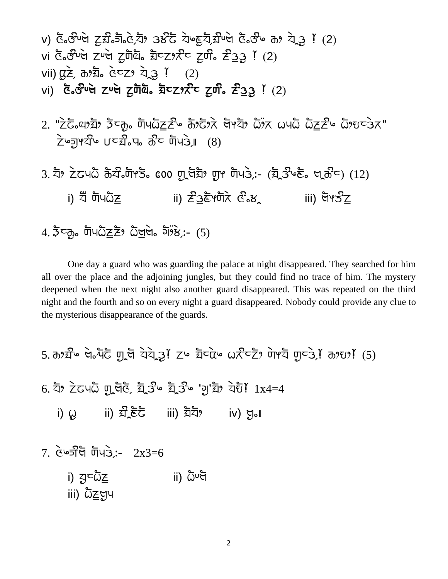v) xfIilNn[ sLclIhfIx[CdX tulaf d[GpLdfCclNn[ xfIilG y] d[TtLZ (2) vi xfIilMNn[ sNn[ sL;fefI cfSs]FlS sL;lI glt-tLZ (2) vii) vLg[C y]cfI x[Ss] d[TtLZ (2) vi) **xfIilNn[ sNn[ sL;fefI cfSs]FlS sL;lI glt-tL**Z (2)

- $2.$  " $\geq$ ិស (2)  $\geq$   $\geq$  of  $\frac{1}{2}$  of  $\geq$   $\geq$   $\geq$   $\geq$   $\geq$   $\geq$   $\geq$   $\geq$   $\geq$   $\geq$   $\geq$   $\geq$   $\geq$   $\geq$   $\geq$   $\geq$   $\geq$   $\geq$   $\geq$   $\geq$   $\geq$   $\geq$   $\geq$   $\geq$   $\geq$   $\geq$   $\geq$   $\geq$   $\geq$   $\sum$ פּאַךְ $\sum$  נוכ $\sum$ יפּא $\sum$  האופ
- $3.$   $\overline{z}$ )  $\overline{z}$   $\overline{z}$   $\overline{z}$   $\overline{z}$   $\overline{z}$   $\overline{z}$   $\overline{z}$   $\overline{z}$   $\overline{z}$   $\overline{z}$   $\overline{z}$   $\overline{z}$   $\overline{z}$   $\overline{z}$   $\overline{z}$   $\overline{z}$   $\overline{z}$   $\overline{z}$   $\overline{z}$   $\overline{z}$   $\overline{z}$   $\overline{z}$   $\overline{z}$ i) যী টা৭ $\tilde{G}$ z ii)  $\tilde{Z}$ 3ৰ্ট পটী $\tilde{G}$   $\tilde{G}$   $\tilde{G}$  iii) লৈ $\tilde{G}$   $Z$

## $4.5c$ , ຫັບ $\Omega \leq \xi$ ,  $\Omega$ ਯੁਖੇ,  $\delta \overrightarrow{P}$ , (5)

One day a guard who was guarding the palace at night disappeared. They searched for him all over the place and the adjoining jungles, but they could find no trace of him. The mystery deepened when the next night also another guard disappeared. This was repeated on the third night and the fourth and so on every night a guard disappeared. Nobody could provide any clue to the mysterious disappearance of the guards.

5.  $\sigma$ <sub>3</sub> if  $\sigma$  did  $\sigma$  is the state in the state  $\sigma$  case is  $\sigma$  is  $\sigma$  is  $\sigma$  is  $\sigma$  is  $\sigma$  is  $\sigma$  is  $\sigma$  is  $\sigma$  is  $\sigma$  is  $\sigma$  is  $\sigma$  is  $\sigma$  is  $\sigma$  is  $\sigma$  is  $\sigma$  is  $\sigma$  is  $\sigma$  is  $\sigma$  is  $\sigma$  is  $\$ 

 $6.$   $\overline{z}$ )  $\overline{z}$  and  $\overline{y}$  and  $\overline{z}$   $\overline{z}$   $\overline{z}$   $\overline{z}$   $\overline{z}$   $\overline{z}$   $\overline{z}$   $\overline{z}$   $\overline{z}$   $\overline{z}$   $\overline{z}$   $\overline{z}$   $\overline{z}$   $\overline{z}$   $\overline{z}$   $\overline{z}$   $\overline{z}$   $\overline{z}$   $\overline{z}$   $\overline{z}$ 

- i)  $\omega$  ii)  $\widehat{\mathfrak{Z}}$ ,  $\widehat{\boldsymbol{\epsilon}}$  iii)  $\widehat{\mathfrak{Z}}$   $\widehat{\mathfrak{Z}}$  iv)  $\mathfrak{z}$ .
- $7.$   $\check{C}$  $\circ$ ਤੀਚੋ  $\overline{U}$ ਚਿ $\check{G}$ :-  $2x3=6$ 
	- i) বু $\bar{c}$ ত্র $\bar{c}$  ii)  $\bar{c}$ ખ্ল iii) ผิ $\underline{\mathsf{Z}}$ ตุน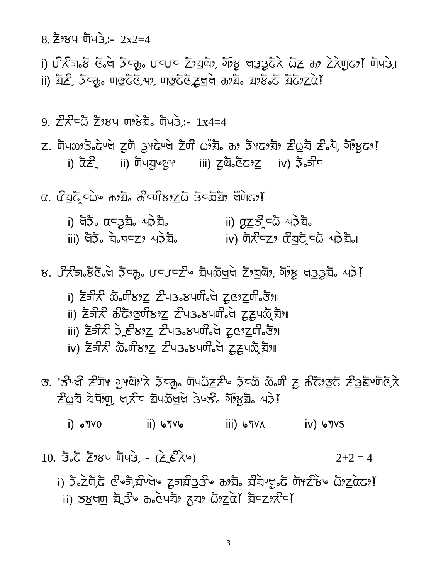8. Z 384 ตัน 3: 2x2=4

i) ਪੌਨੇਗਿ ਲੌਂ ਕੇ ਕੇ ਕੇਵ੍ਹੋ, ਪਵਪਵ ਟੋਂਅਬੁੱਕੇ, ਹੱਸਲੂ ਖਤੂੜ੍ਹੇ ਕੇ ਕੋਟੂ ਨਾ ਟੇਨੇਯੂਫਾ ਸਿੱਖਤੇ, ii) ঘূঁ $\mathcal{Z}$ , ਤੋਟਨ, ਗੁਰੂਫੋਓ,49, ਗੁਰੂਫੋਓ,ਟੂਚੂਚੇ ਨਾਬ਼, ਬਾਲੇ ਫੋ ਬੋਫੋ?ਟੂਕੇ!

9.  $\vec{z}$   $\vec{z}$   $\vec{z}$   $\vec{z}$   $\vec{z}$   $\vec{z}$   $\vec{y}$   $\vec{y}$   $\vec{z}$   $\vec{z}$   $\vec{z}$   $\vec{z}$   $\vec{z}$   $\vec{z}$   $\vec{z}$   $\vec{z}$   $\vec{z}$   $\vec{z}$   $\vec{z}$   $\vec{z}$   $\vec{z}$   $\vec{z}$   $\vec{z}$   $\vec{z}$   $\vec{z}$   $\vec{z}$   $\vec{z}$   $\$ 

 $Z$ . ต้นxx5.  $c$ υલ टूल วูหอิบต टॅली ( ) ลื. ส 5ัหอ มิ 2 2 ส 2 ส 513 32 i)  $\bar{\alpha} \bar{\epsilon}$  ii) ຫັບਤੁષ્છુ૧ iii) ટ્રુαે $\bar{\alpha}$ 622 iv)  $\bar{\alpha} \bar{\delta}$ 

α. αੋਹੁਫ਼ੋਟਿੰ∾ ਰාਬ ਰੇ ਰੌਦਯੋਲਾ<u>ਟ</u>ਨੋ ਤੇਵਲੈਬੋ ਚੌਂਯੇਫਾ਼?

i) पेऊँ  $\alpha$ टउंच्रै, ५३ँच्रै, ii) αz͡ຮີີີເລັົົ້<sup>4</sup>ວີ້ສື່ iii) पेंऊँ ये पट्टा पर्वेंद्र के iv) पारी पट्टा प्रविद्ध पर्वेंद्र बा

ਲ. ਪੌਨੀਗ $\delta$ ਲੋਟਿੰਕਾਂ ਡੈਟਨੂੰ ਪਟਪਟਟੀ ਬੋਪਲੇਖਾਖਾਂ ਟੋਂ,ਬਯੋਂ, ਹੋਂ,ਲੂ ਖਤੂਤੂਬੈਂ, ਪਤੇ!

- i)  $\bar{z}$ সি $\bar{x}$  మనియోశు $\underline{z}$   $\bar{z}$ чэ $\bar{s}$ учи $\bar{s}$ े टू $\bar{c}$   $\bar{z}$   $\bar{c}$
- ii) ਟੋਤੀਨ ੋਨੇਟੋ?ਭੁਯੰ੪?ਟ ਟੰਪਤ. ਖ਼ਯੰੋੇਚ ਟ੍ਰਟੁਪਲੈ ਬੇਂਅ
- iii) टॅजेरी ३ ईस्था<u>ट</u> टीपउ ४५मी ले टूटाटुणी उँश
- iv) ਟੋਕੀਨ ਲੈਂਗੀਲਾ<u>ਟ</u> ਟੀਪਤੇ ਲਪਯੀੰਕੀ ਟੂਟੂਪਲੈ ਬੋਆ
- <u>ය. 'ਤੇਂਪਖੀ ਟੀੱਗਮ ਹਮੂਐਂਟੀ ਨੇ ਵਿੱਚ ਗਿਆਨੀਟਟੀ ਵਿੱਚ ਕੋ ਅਤੇ ਸਿੱਖ ਕੀ ਟਿੱਪ ਨੂੰ ਕ</u>  $\tilde{Z}$ এুই বৈদ্যুঁঢ়া, লুৰ্সীত য়াঁওঁলুলৈ ওঁওঠি গাঁওঁয়ুঁৱ এই!

 $i)$   $\sqrt{VQ}$ ii) ⊌۳۷ه איז (iii) איז (iii

 $10.55$   $\bar{z}$   $\bar{z}$   $\bar{z}$   $\bar{y}$   $\bar{y}$   $\bar{y}$   $\bar{z}$   $\bar{z}$   $\bar{z}$   $\bar{z}$   $\bar{z}$   $\bar{z}$   $\bar{y}$  $2+2=4$ 

i) ਤੈਂ ਟੇਗੋ, ਟੌਪਰੈਂ, ਬੀਪਲ ਟਰਬੀ ਹੈ ਅਸੀਂ ਬੀਪਲ ਹੈ ਕਿ ਕਿ ਕਿ ਸੁਰੱਖ ਹੈ ii) उष्टुला यूँ उँ कि लेप ये द्रया दे यूँ ये यूँट रास्टा